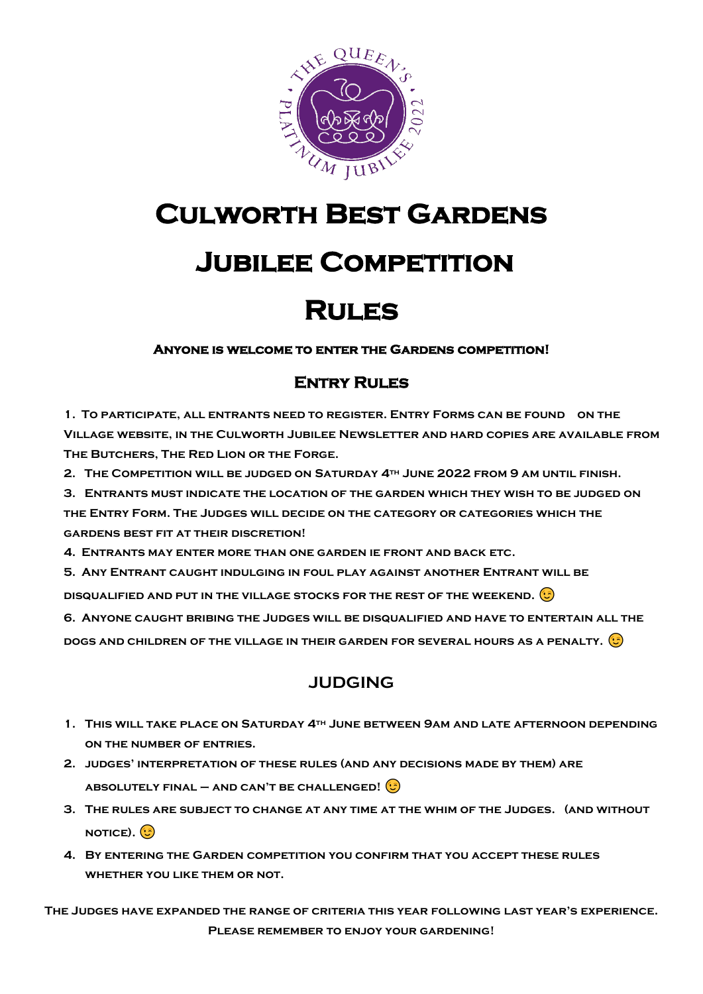

## **Culworth Best Gardens**

## **Jubilee Competition**

### **Rules**

#### **Anyone is welcome to enter the Gardens competition!**

### **Entry Rules**

**1. To participate, all entrants need to register. Entry Forms can be found on the Village website, in the Culworth Jubilee Newsletter and hard copies are available from The Butchers, The Red Lion or the Forge.**

**2. The Competition will be judged on Saturday 4th June 2022 from 9 am until finish.**

**3. Entrants must indicate the location of the garden which they wish to be judged on** 

**the Entry Form. The Judges will decide on the category or categories which the gardens best fit at their discretion!**

**4. Entrants may enter more than one garden ie front and back etc.**

**5. Any Entrant caught indulging in foul play against another Entrant will be** 

**disqualified and put in the village stocks for the rest of the weekend.**

**6. Anyone caught bribing the Judges will be disqualified and have to entertain all the** 

**dogs and children of the village in their garden for several hours as a penalty.**

### **JUDGING**

- **1. This will take place on Saturday 4th June between 9am and late afternoon depending on the number of entries.**
- **2. judges' interpretation of these rules (and any decisions made by them) are absolutely final – and can't be challenged!**
- **3. The rules are subject to change at any time at the whim of the Judges. (and without NOTICE). <b>B**
- **4. By entering the Garden competition you confirm that you accept these rules whether you like them or not.**

**The Judges have expanded the range of criteria this year following last year's experience. Please remember to enjoy your gardening!**